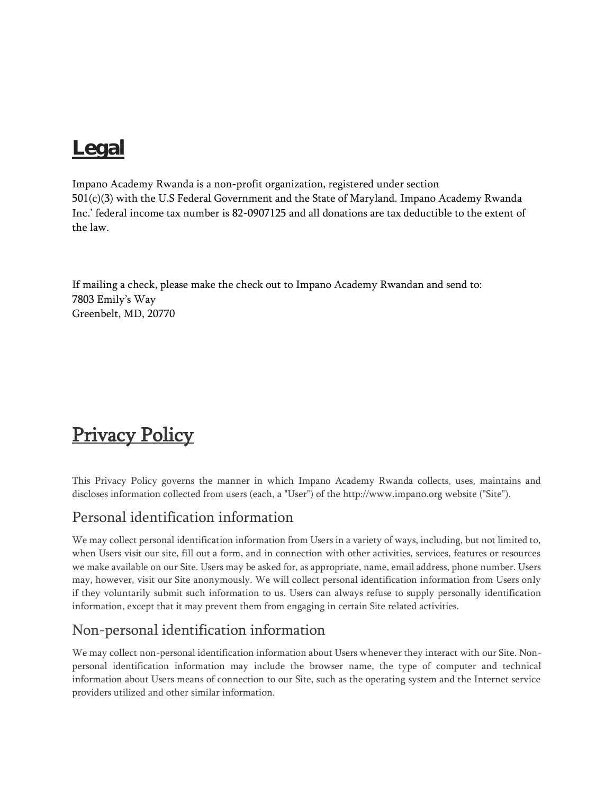# Legal

Impano Academy Rwanda is a non-profit organization, registered under section 501(c)(3) with the U.S Federal Government and the State of Maryland. Impano Academy Rwanda Inc.' federal income tax number is 82-0907125 and all donations are tax deductible to the extent of the law.

If mailing a check, please make the check out to Impano Academy Rwandan and send to: 7803 Emily's Way Greenbelt, MD, 20770

# **Privacy Policy**

This Privacy Policy governs the manner in which Impano Academy Rwanda collects, uses, maintains and discloses information collected from users (each, a "User") of the http://www.impano.org website ("Site").

## Personal identification information

We may collect personal identification information from Users in a variety of ways, including, but not limited to, when Users visit our site, fill out a form, and in connection with other activities, services, features or resources we make available on our Site. Users may be asked for, as appropriate, name, email address, phone number. Users may, however, visit our Site anonymously. We will collect personal identification information from Users only if they voluntarily submit such information to us. Users can always refuse to supply personally identification information, except that it may prevent them from engaging in certain Site related activities.

## Non-personal identification information

We may collect non-personal identification information about Users whenever they interact with our Site. Nonpersonal identification information may include the browser name, the type of computer and technical information about Users means of connection to our Site, such as the operating system and the Internet service providers utilized and other similar information.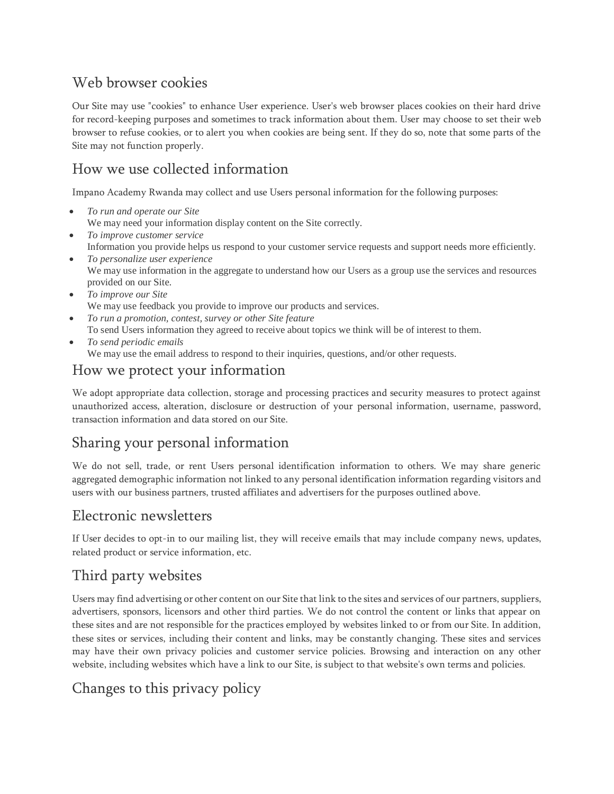## Web browser cookies

Our Site may use "cookies" to enhance User experience. User's web browser places cookies on their hard drive for record-keeping purposes and sometimes to track information about them. User may choose to set their web browser to refuse cookies, or to alert you when cookies are being sent. If they do so, note that some parts of the Site may not function properly.

#### How we use collected information

Impano Academy Rwanda may collect and use Users personal information for the following purposes:

- *To run and operate our Site* We may need your information display content on the Site correctly.
- *To improve customer service* Information you provide helps us respond to your customer service requests and support needs more efficiently.
- *To personalize user experience* We may use information in the aggregate to understand how our Users as a group use the services and resources provided on our Site.
- *To improve our Site* We may use feedback you provide to improve our products and services.
- *To run a promotion, contest, survey or other Site feature* To send Users information they agreed to receive about topics we think will be of interest to them.
- *To send periodic emails* We may use the email address to respond to their inquiries, questions, and/or other requests.

## How we protect your information

We adopt appropriate data collection, storage and processing practices and security measures to protect against unauthorized access, alteration, disclosure or destruction of your personal information, username, password, transaction information and data stored on our Site.

## Sharing your personal information

We do not sell, trade, or rent Users personal identification information to others. We may share generic aggregated demographic information not linked to any personal identification information regarding visitors and users with our business partners, trusted affiliates and advertisers for the purposes outlined above.

#### Electronic newsletters

If User decides to opt-in to our mailing list, they will receive emails that may include company news, updates, related product or service information, etc.

## Third party websites

Users may find advertising or other content on our Site that link to the sites and services of our partners, suppliers, advertisers, sponsors, licensors and other third parties. We do not control the content or links that appear on these sites and are not responsible for the practices employed by websites linked to or from our Site. In addition, these sites or services, including their content and links, may be constantly changing. These sites and services may have their own privacy policies and customer service policies. Browsing and interaction on any other website, including websites which have a link to our Site, is subject to that website's own terms and policies.

## Changes to this privacy policy